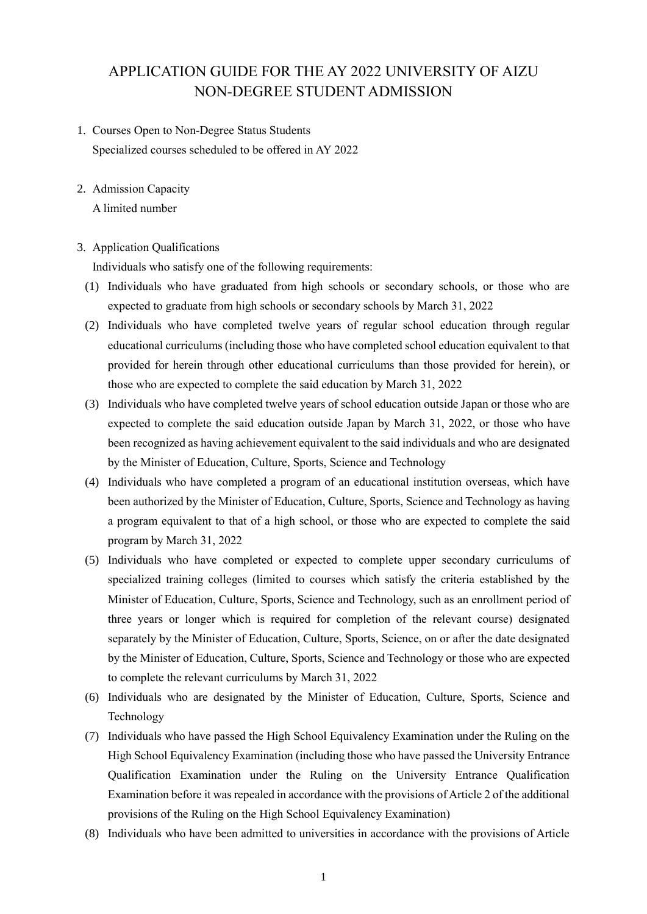# APPLICATION GUIDE FOR THE AY 2022 UNIVERSITY OF AIZU NON-DEGREE STUDENT ADMISSION

- 1. Courses Open to Non-Degree Status Students Specialized courses scheduled to be offered in AY 2022
- 2. Admission Capacity

A limited number

## 3. Application Qualifications

Individuals who satisfy one of the following requirements:

- (1) Individuals who have graduated from high schools or secondary schools, or those who are expected to graduate from high schools or secondary schools by March 31, 2022
- (2) Individuals who have completed twelve years of regular school education through regular educational curriculums (including those who have completed school education equivalent to that provided for herein through other educational curriculums than those provided for herein), or those who are expected to complete the said education by March 31, 2022
- (3) Individuals who have completed twelve years of school education outside Japan or those who are expected to complete the said education outside Japan by March 31, 2022, or those who have been recognized as having achievement equivalent to the said individuals and who are designated by the Minister of Education, Culture, Sports, Science and Technology
- (4) Individuals who have completed a program of an educational institution overseas, which have been authorized by the Minister of Education, Culture, Sports, Science and Technology as having a program equivalent to that of a high school, or those who are expected to complete the said program by March 31, 2022
- (5) Individuals who have completed or expected to complete upper secondary curriculums of specialized training colleges (limited to courses which satisfy the criteria established by the Minister of Education, Culture, Sports, Science and Technology, such as an enrollment period of three years or longer which is required for completion of the relevant course) designated separately by the Minister of Education, Culture, Sports, Science, on or after the date designated by the Minister of Education, Culture, Sports, Science and Technology or those who are expected to complete the relevant curriculums by March 31, 2022
- (6) Individuals who are designated by the Minister of Education, Culture, Sports, Science and Technology
- (7) Individuals who have passed the High School Equivalency Examination under the Ruling on the High School Equivalency Examination (including those who have passed the University Entrance Qualification Examination under the Ruling on the University Entrance Qualification Examination before it was repealed in accordance with the provisions of Article 2 of the additional provisions of the Ruling on the High School Equivalency Examination)
- (8) Individuals who have been admitted to universities in accordance with the provisions of Article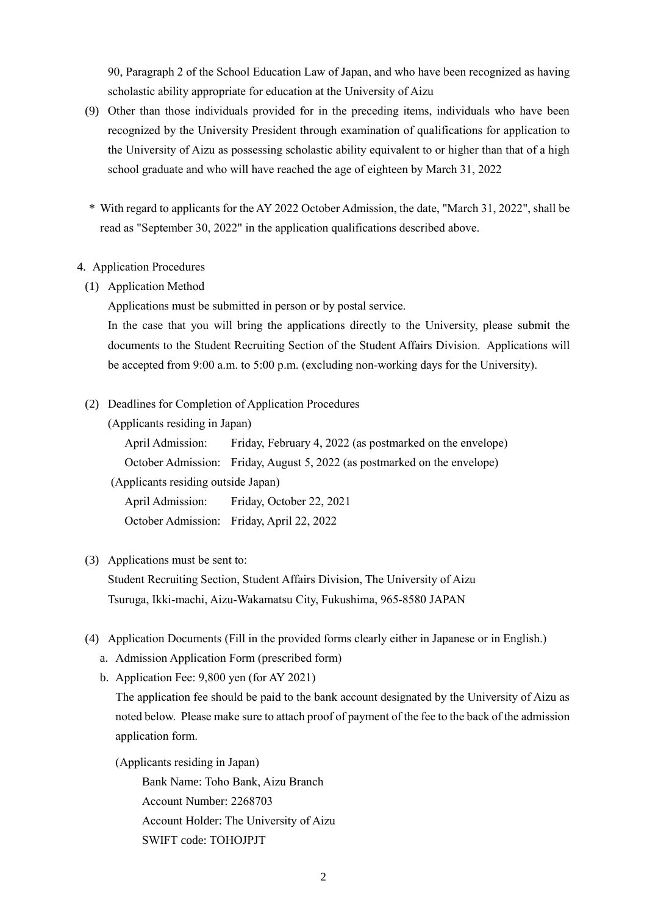90, Paragraph 2 of the School Education Law of Japan, and who have been recognized as having scholastic ability appropriate for education at the University of Aizu

- (9) Other than those individuals provided for in the preceding items, individuals who have been recognized by the University President through examination of qualifications for application to the University of Aizu as possessing scholastic ability equivalent to or higher than that of a high school graduate and who will have reached the age of eighteen by March 31, 2022
- \* With regard to applicants for the AY 2022 October Admission, the date, "March 31, 2022", shall be read as "September 30, 2022" in the application qualifications described above.

#### 4. Application Procedures

(1) Application Method

Applications must be submitted in person or by postal service.

In the case that you will bring the applications directly to the University, please submit the documents to the Student Recruiting Section of the Student Affairs Division. Applications will be accepted from 9:00 a.m. to 5:00 p.m. (excluding non-working days for the University).

(2) Deadlines for Completion of Application Procedures

(Applicants residing in Japan)

April Admission: Friday, February 4, 2022 (as postmarked on the envelope) October Admission: Friday, August 5, 2022 (as postmarked on the envelope) (Applicants residing outside Japan) April Admission: Friday, October 22, 2021

October Admission: Friday, April 22, 2022

### (3) Applications must be sent to:

Student Recruiting Section, Student Affairs Division, The University of Aizu Tsuruga, Ikki-machi, Aizu-Wakamatsu City, Fukushima, 965-8580 JAPAN

- (4) Application Documents (Fill in the provided forms clearly either in Japanese or in English.)
	- a. Admission Application Form (prescribed form)
	- b. Application Fee: 9,800 yen (for AY 2021)

The application fee should be paid to the bank account designated by the University of Aizu as noted below. Please make sure to attach proof of payment of the fee to the back of the admission application form.

(Applicants residing in Japan) Bank Name: Toho Bank, Aizu Branch Account Number: 2268703 Account Holder: The University of Aizu SWIFT code: TOHOJPJT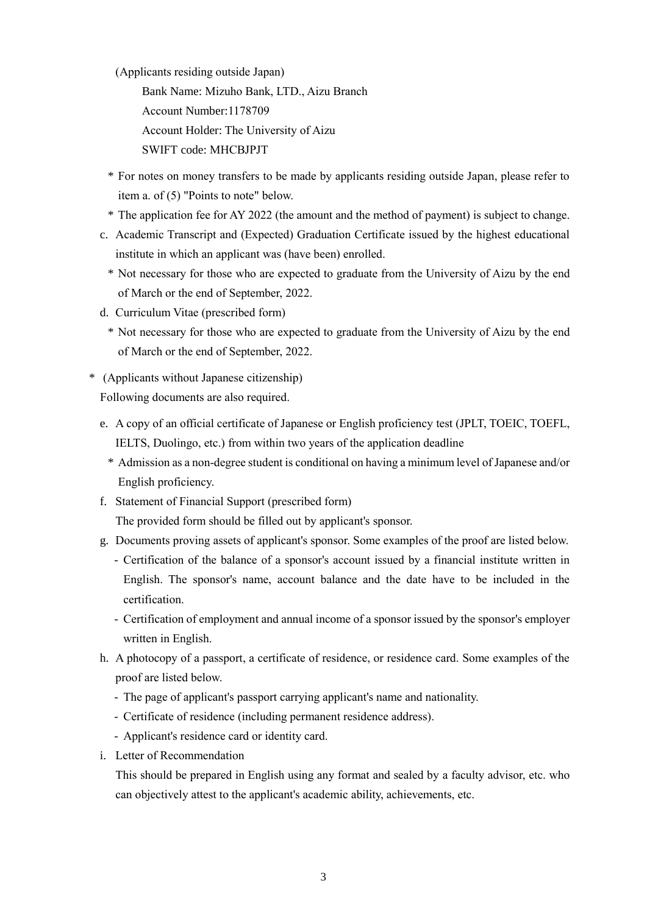(Applicants residing outside Japan)

Bank Name: Mizuho Bank, LTD., Aizu Branch Account Number:1178709 Account Holder: The University of Aizu

SWIFT code: MHCBJPJT

- \* For notes on money transfers to be made by applicants residing outside Japan, please refer to item a. of (5) "Points to note" below.
- \* The application fee for AY 2022 (the amount and the method of payment) is subject to change.
- c. Academic Transcript and (Expected) Graduation Certificate issued by the highest educational institute in which an applicant was (have been) enrolled.
	- \* Not necessary for those who are expected to graduate from the University of Aizu by the end of March or the end of September, 2022.
- d. Curriculum Vitae (prescribed form)
	- \* Not necessary for those who are expected to graduate from the University of Aizu by the end of March or the end of September, 2022.
- \* (Applicants without Japanese citizenship) Following documents are also required.
	- e. A copy of an official certificate of Japanese or English proficiency test (JPLT, TOEIC, TOEFL, IELTS, Duolingo, etc.) from within two years of the application deadline
		- \* Admission as a non-degree student is conditional on having a minimum level of Japanese and/or English proficiency.
	- f. Statement of Financial Support (prescribed form)

The provided form should be filled out by applicant's sponsor.

- g. Documents proving assets of applicant's sponsor. Some examples of the proof are listed below.
	- Certification of the balance of a sponsor's account issued by a financial institute written in English. The sponsor's name, account balance and the date have to be included in the certification.
	- Certification of employment and annual income of a sponsor issued by the sponsor's employer written in English.
- h. A photocopy of a passport, a certificate of residence, or residence card. Some examples of the proof are listed below.
	- The page of applicant's passport carrying applicant's name and nationality.
	- Certificate of residence (including permanent residence address).
	- Applicant's residence card or identity card.
- i. Letter of Recommendation

This should be prepared in English using any format and sealed by a faculty advisor, etc. who can objectively attest to the applicant's academic ability, achievements, etc.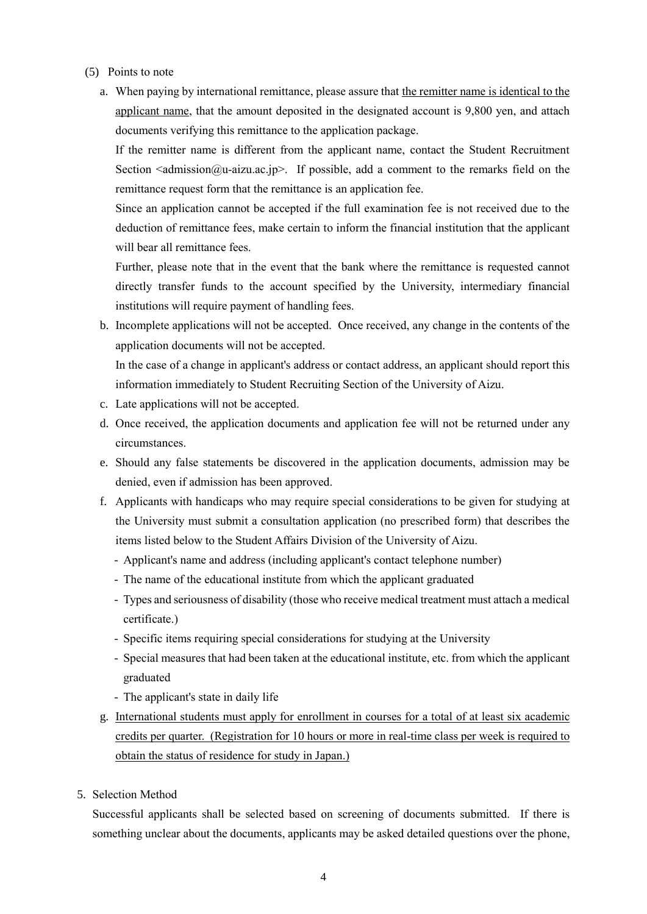- (5) Points to note
	- a. When paying by international remittance, please assure that the remitter name is identical to the applicant name, that the amount deposited in the designated account is 9,800 yen, and attach documents verifying this remittance to the application package.

If the remitter name is different from the applicant name, contact the Student Recruitment Section  $\leq$  admission  $\omega$ -aizu.ac.jp>. If possible, add a comment to the remarks field on the remittance request form that the remittance is an application fee.

Since an application cannot be accepted if the full examination fee is not received due to the deduction of remittance fees, make certain to inform the financial institution that the applicant will bear all remittance fees.

Further, please note that in the event that the bank where the remittance is requested cannot directly transfer funds to the account specified by the University, intermediary financial institutions will require payment of handling fees.

b. Incomplete applications will not be accepted. Once received, any change in the contents of the application documents will not be accepted.

In the case of a change in applicant's address or contact address, an applicant should report this information immediately to Student Recruiting Section of the University of Aizu.

- c. Late applications will not be accepted.
- d. Once received, the application documents and application fee will not be returned under any circumstances.
- e. Should any false statements be discovered in the application documents, admission may be denied, even if admission has been approved.
- f. Applicants with handicaps who may require special considerations to be given for studying at the University must submit a consultation application (no prescribed form) that describes the items listed below to the Student Affairs Division of the University of Aizu.
	- Applicant's name and address (including applicant's contact telephone number)
	- The name of the educational institute from which the applicant graduated
	- Types and seriousness of disability (those who receive medical treatment must attach a medical certificate.)
	- Specific items requiring special considerations for studying at the University
	- Special measures that had been taken at the educational institute, etc. from which the applicant graduated
	- The applicant's state in daily life
- g. International students must apply for enrollment in courses for a total of at least six academic credits per quarter. (Registration for 10 hours or more in real-time class per week is required to obtain the status of residence for study in Japan.)
- 5. Selection Method

Successful applicants shall be selected based on screening of documents submitted. If there is something unclear about the documents, applicants may be asked detailed questions over the phone,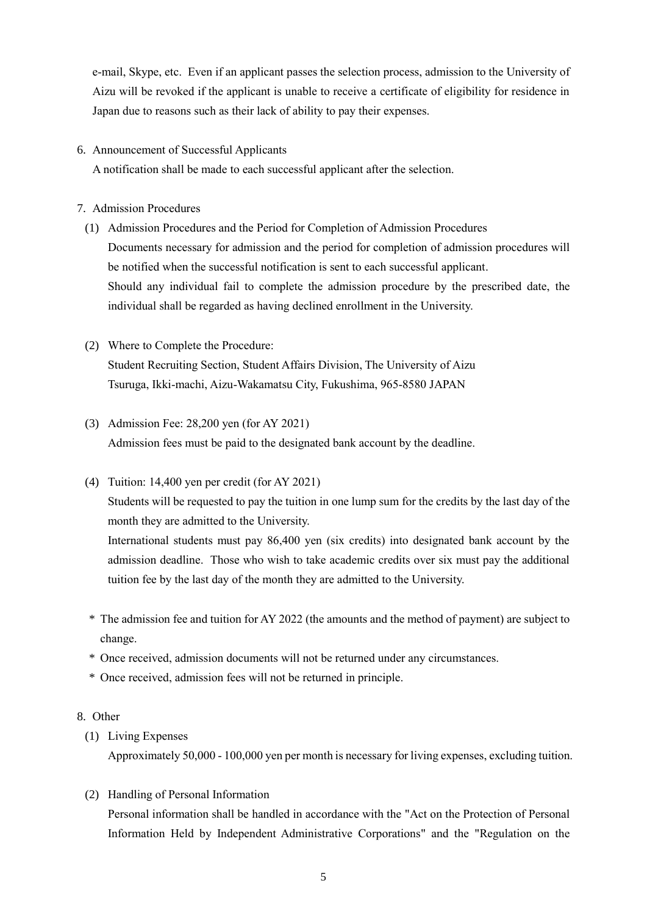e-mail, Skype, etc. Even if an applicant passes the selection process, admission to the University of Aizu will be revoked if the applicant is unable to receive a certificate of eligibility for residence in Japan due to reasons such as their lack of ability to pay their expenses.

## 6. Announcement of Successful Applicants

A notification shall be made to each successful applicant after the selection.

# 7. Admission Procedures

- (1) Admission Procedures and the Period for Completion of Admission Procedures Documents necessary for admission and the period for completion of admission procedures will be notified when the successful notification is sent to each successful applicant. Should any individual fail to complete the admission procedure by the prescribed date, the individual shall be regarded as having declined enrollment in the University.
- (2) Where to Complete the Procedure: Student Recruiting Section, Student Affairs Division, The University of Aizu Tsuruga, Ikki-machi, Aizu-Wakamatsu City, Fukushima, 965-8580 JAPAN
- (3) Admission Fee: 28,200 yen (for AY 2021) Admission fees must be paid to the designated bank account by the deadline.
- (4) Tuition: 14,400 yen per credit (for AY 2021)

Students will be requested to pay the tuition in one lump sum for the credits by the last day of the month they are admitted to the University.

International students must pay 86,400 yen (six credits) into designated bank account by the admission deadline. Those who wish to take academic credits over six must pay the additional tuition fee by the last day of the month they are admitted to the University.

- \* The admission fee and tuition for AY 2022 (the amounts and the method of payment) are subject to change.
- \* Once received, admission documents will not be returned under any circumstances.
- \* Once received, admission fees will not be returned in principle.

### 8. Other

(1) Living Expenses

Approximately 50,000 - 100,000 yen per month is necessary for living expenses, excluding tuition.

(2) Handling of Personal Information

Personal information shall be handled in accordance with the "Act on the Protection of Personal Information Held by Independent Administrative Corporations" and the "Regulation on the